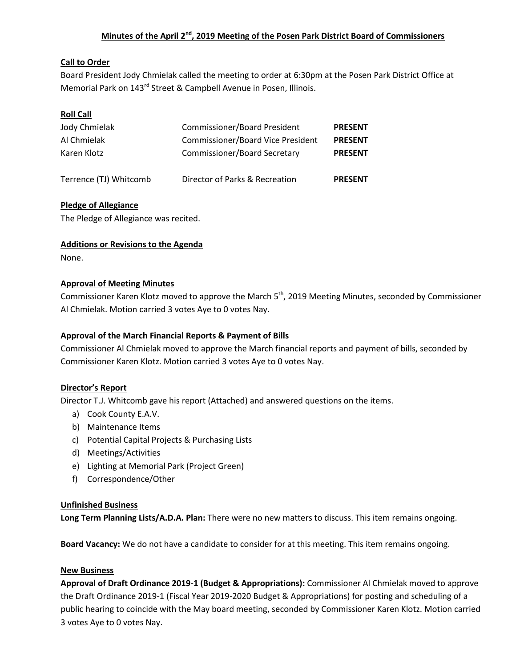# **Minutes of the April 2nd, 2019 Meeting of the Posen Park District Board of Commissioners**

## **Call to Order**

Board President Jody Chmielak called the meeting to order at 6:30pm at the Posen Park District Office at Memorial Park on 143<sup>rd</sup> Street & Campbell Avenue in Posen, Illinois.

# **Roll Call**

| Jody Chmielak          | <b>Commissioner/Board President</b>      | <b>PRESENT</b> |
|------------------------|------------------------------------------|----------------|
| Al Chmielak            | <b>Commissioner/Board Vice President</b> | <b>PRESENT</b> |
| Karen Klotz            | <b>Commissioner/Board Secretary</b>      | <b>PRESENT</b> |
|                        |                                          |                |
| Terrence (TJ) Whitcomb | Director of Parks & Recreation           | <b>PRESENT</b> |

## **Pledge of Allegiance**

The Pledge of Allegiance was recited.

## **Additions or Revisions to the Agenda**

None.

## **Approval of Meeting Minutes**

Commissioner Karen Klotz moved to approve the March 5<sup>th</sup>, 2019 Meeting Minutes, seconded by Commissioner Al Chmielak. Motion carried 3 votes Aye to 0 votes Nay.

## **Approval of the March Financial Reports & Payment of Bills**

Commissioner Al Chmielak moved to approve the March financial reports and payment of bills, seconded by Commissioner Karen Klotz. Motion carried 3 votes Aye to 0 votes Nay.

## **Director's Report**

Director T.J. Whitcomb gave his report (Attached) and answered questions on the items.

- a) Cook County E.A.V.
- b) Maintenance Items
- c) Potential Capital Projects & Purchasing Lists
- d) Meetings/Activities
- e) Lighting at Memorial Park (Project Green)
- f) Correspondence/Other

## **Unfinished Business**

**Long Term Planning Lists/A.D.A. Plan:** There were no new matters to discuss. This item remains ongoing.

**Board Vacancy:** We do not have a candidate to consider for at this meeting. This item remains ongoing.

## **New Business**

**Approval of Draft Ordinance 2019-1 (Budget & Appropriations):** Commissioner Al Chmielak moved to approve the Draft Ordinance 2019-1 (Fiscal Year 2019-2020 Budget & Appropriations) for posting and scheduling of a public hearing to coincide with the May board meeting, seconded by Commissioner Karen Klotz. Motion carried 3 votes Aye to 0 votes Nay.